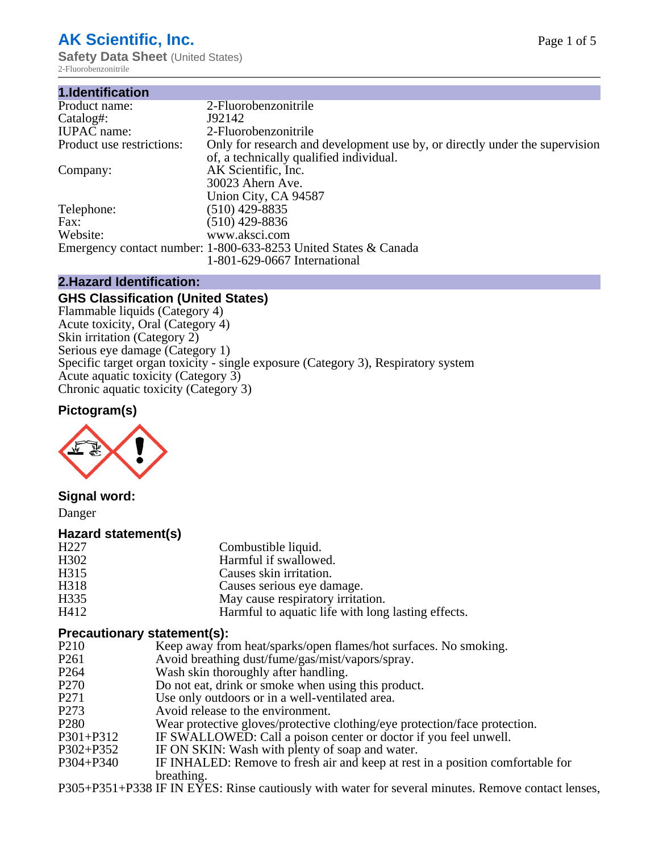# **AK Scientific, Inc.**

**Safety Data Sheet** (United States) 2-Fluorobenzonitrile

| 1.Identification          |                                                                                                                        |
|---------------------------|------------------------------------------------------------------------------------------------------------------------|
| Product name:             | 2-Fluorobenzonitrile                                                                                                   |
| Catalog#:                 | J92142                                                                                                                 |
| <b>IUPAC</b> name:        | 2-Fluorobenzonitrile                                                                                                   |
| Product use restrictions: | Only for research and development use by, or directly under the supervision<br>of, a technically qualified individual. |
| Company:                  | AK Scientific, Inc.                                                                                                    |
|                           | 30023 Ahern Ave.<br>Union City, CA 94587                                                                               |
| Telephone:                | $(510)$ 429-8835                                                                                                       |
| Fax:                      | $(510)$ 429-8836                                                                                                       |
| Website:                  | www.aksci.com                                                                                                          |
|                           | Emergency contact number: 1-800-633-8253 United States & Canada                                                        |
|                           | 1-801-629-0667 International                                                                                           |

#### **2.Hazard Identification:**

#### **GHS Classification (United States)**

Flammable liquids (Category 4) Acute toxicity, Oral (Category 4) Skin irritation (Category 2) Serious eye damage (Category 1) Specific target organ toxicity - single exposure (Category 3), Respiratory system Acute aquatic toxicity (Category 3) Chronic aquatic toxicity (Category 3)

### **Pictogram(s)**



#### **Signal word:**

Danger

#### **Hazard statement(s)**

| H <sub>227</sub>  | Combustible liquid.                                |
|-------------------|----------------------------------------------------|
| H <sub>3</sub> 02 | Harmful if swallowed.                              |
| H315              | Causes skin irritation.                            |
| H318              | Causes serious eye damage.                         |
| H335              | May cause respiratory irritation.                  |
| H412              | Harmful to aquatic life with long lasting effects. |

#### **Precautionary statement(s):**

- P210 Keep away from heat/sparks/open flames/hot surfaces. No smoking.<br>P261 Avoid breathing dust/fume/gas/mist/vapors/spray.
- P261 Avoid breathing dust/fume/gas/mist/vapors/spray.<br>P264 Wash skin thoroughly after handling
- Wash skin thoroughly after handling.
- P270 Do not eat, drink or smoke when using this product.
- P271 Use only outdoors or in a well-ventilated area.<br>P273 Avoid release to the environment.
- P273 Avoid release to the environment.<br>P280 Wear protective gloves/protective
- Wear protective gloves/protective clothing/eye protection/face protection.
- P301+P312 IF SWALLOWED: Call a poison center or doctor if you feel unwell.<br>P302+P352 IF ON SKIN: Wash with plenty of soap and water.
- IF ON SKIN: Wash with plenty of soap and water.
- P304+P340 IF INHALED: Remove to fresh air and keep at rest in a position comfortable for breathing.

P305+P351+P338 IF IN EYES: Rinse cautiously with water for several minutes. Remove contact lenses,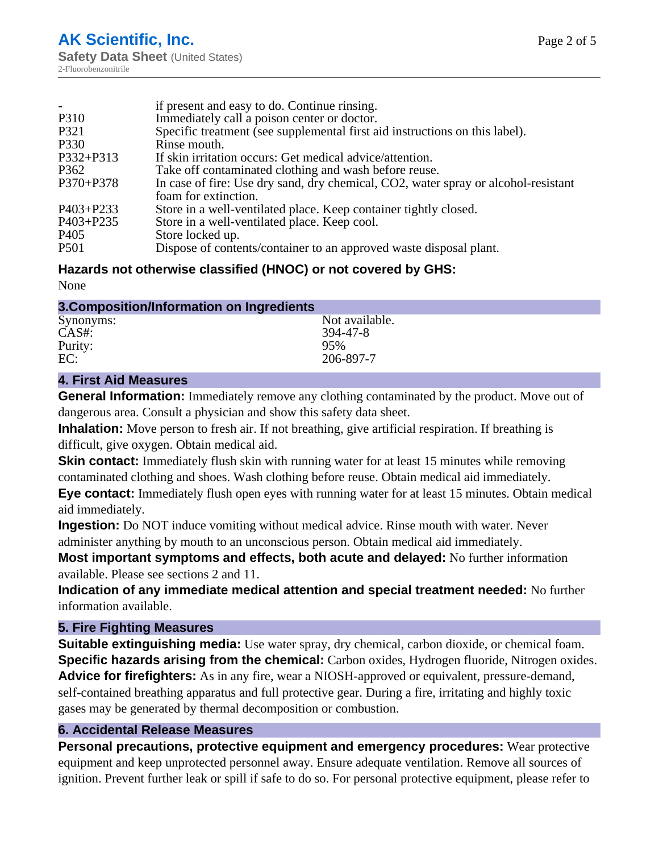|                  | if present and easy to do. Continue rinsing.                                                               |
|------------------|------------------------------------------------------------------------------------------------------------|
| P310             | Immediately call a poison center or doctor.                                                                |
| P321             | Specific treatment (see supplemental first aid instructions on this label).                                |
| P330             | Rinse mouth.                                                                                               |
| P332+P313        | If skin irritation occurs: Get medical advice/attention.                                                   |
| P <sub>362</sub> | Take off contaminated clothing and wash before reuse.                                                      |
| $P370 + P378$    | In case of fire: Use dry sand, dry chemical, CO2, water spray or alcohol-resistant<br>foam for extinction. |
| $P403 + P233$    | Store in a well-ventilated place. Keep container tightly closed.                                           |
| $P403 + P235$    | Store in a well-ventilated place. Keep cool.                                                               |
| P <sub>405</sub> | Store locked up.                                                                                           |
| <b>P501</b>      | Dispose of contents/container to an approved waste disposal plant.                                         |

# **Hazards not otherwise classified (HNOC) or not covered by GHS:**

None

| 3. Composition/Information on Ingredients |                |
|-------------------------------------------|----------------|
| Synonyms:                                 | Not available. |
| CAS#:                                     | 394-47-8       |
| Purity:                                   | 95%            |
| EC:                                       | 206-897-7      |

### **4. First Aid Measures**

**General Information:** Immediately remove any clothing contaminated by the product. Move out of dangerous area. Consult a physician and show this safety data sheet.

**Inhalation:** Move person to fresh air. If not breathing, give artificial respiration. If breathing is difficult, give oxygen. Obtain medical aid.

**Skin contact:** Immediately flush skin with running water for at least 15 minutes while removing contaminated clothing and shoes. Wash clothing before reuse. Obtain medical aid immediately. **Eye contact:** Immediately flush open eyes with running water for at least 15 minutes. Obtain medical aid immediately.

**Ingestion:** Do NOT induce vomiting without medical advice. Rinse mouth with water. Never administer anything by mouth to an unconscious person. Obtain medical aid immediately.

**Most important symptoms and effects, both acute and delayed:** No further information available. Please see sections 2 and 11.

**Indication of any immediate medical attention and special treatment needed:** No further information available.

#### **5. Fire Fighting Measures**

**Suitable extinguishing media:** Use water spray, dry chemical, carbon dioxide, or chemical foam. **Specific hazards arising from the chemical:** Carbon oxides, Hydrogen fluoride, Nitrogen oxides. **Advice for firefighters:** As in any fire, wear a NIOSH-approved or equivalent, pressure-demand, self-contained breathing apparatus and full protective gear. During a fire, irritating and highly toxic gases may be generated by thermal decomposition or combustion.

# **6. Accidental Release Measures**

**Personal precautions, protective equipment and emergency procedures:** Wear protective equipment and keep unprotected personnel away. Ensure adequate ventilation. Remove all sources of ignition. Prevent further leak or spill if safe to do so. For personal protective equipment, please refer to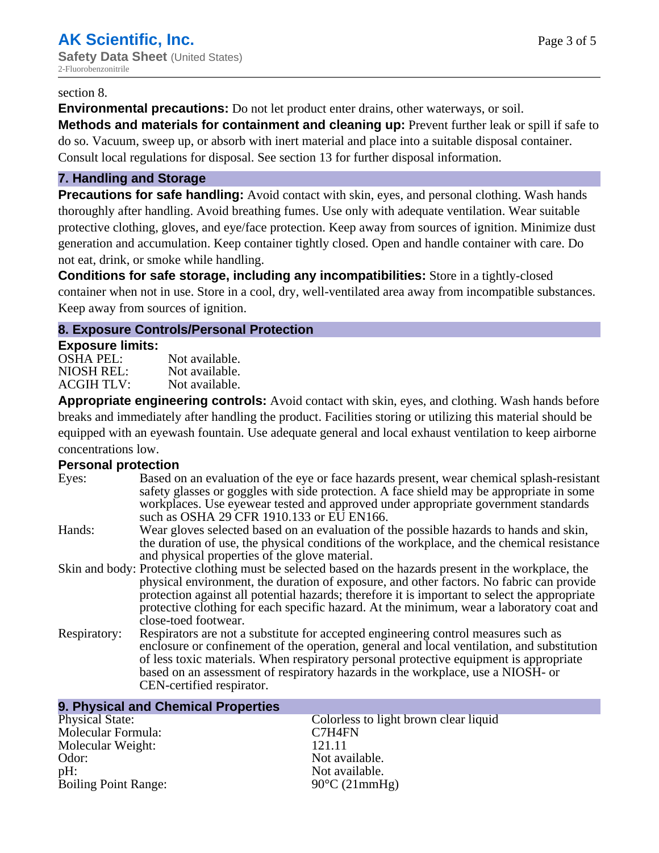#### section 8.

**Environmental precautions:** Do not let product enter drains, other waterways, or soil.

**Methods and materials for containment and cleaning up:** Prevent further leak or spill if safe to do so. Vacuum, sweep up, or absorb with inert material and place into a suitable disposal container. Consult local regulations for disposal. See section 13 for further disposal information.

#### **7. Handling and Storage**

**Precautions for safe handling:** Avoid contact with skin, eyes, and personal clothing. Wash hands thoroughly after handling. Avoid breathing fumes. Use only with adequate ventilation. Wear suitable protective clothing, gloves, and eye/face protection. Keep away from sources of ignition. Minimize dust generation and accumulation. Keep container tightly closed. Open and handle container with care. Do not eat, drink, or smoke while handling.

**Conditions for safe storage, including any incompatibilities:** Store in a tightly-closed container when not in use. Store in a cool, dry, well-ventilated area away from incompatible substances. Keep away from sources of ignition.

#### **8. Exposure Controls/Personal Protection**

#### **Exposure limits:**

| <b>OSHA PEL:</b>  | Not available. |
|-------------------|----------------|
| NIOSH REL:        | Not available. |
| <b>ACGIH TLV:</b> | Not available. |

**Appropriate engineering controls:** Avoid contact with skin, eyes, and clothing. Wash hands before breaks and immediately after handling the product. Facilities storing or utilizing this material should be equipped with an eyewash fountain. Use adequate general and local exhaust ventilation to keep airborne concentrations low.

#### **Personal protection**

| Eyes:        | Based on an evaluation of the eye or face hazards present, wear chemical splash-resistant<br>safety glasses or goggles with side protection. A face shield may be appropriate in some<br>workplaces. Use eyewear tested and approved under appropriate government standards<br>such as OSHA 29 CFR 1910.133 or EU EN166.                                                                                                |
|--------------|-------------------------------------------------------------------------------------------------------------------------------------------------------------------------------------------------------------------------------------------------------------------------------------------------------------------------------------------------------------------------------------------------------------------------|
| Hands:       | Wear gloves selected based on an evaluation of the possible hazards to hands and skin,<br>the duration of use, the physical conditions of the workplace, and the chemical resistance<br>and physical properties of the glove material.                                                                                                                                                                                  |
|              | Skin and body: Protective clothing must be selected based on the hazards present in the workplace, the<br>physical environment, the duration of exposure, and other factors. No fabric can provide<br>protection against all potential hazards; therefore it is important to select the appropriate<br>protective clothing for each specific hazard. At the minimum, wear a laboratory coat and<br>close-toed footwear. |
| Respiratory: | Respirators are not a substitute for accepted engineering control measures such as<br>enclosure or confinement of the operation, general and local ventilation, and substitution<br>of less toxic materials. When respiratory personal protective equipment is appropriate<br>based on an assessment of respiratory hazards in the workplace, use a NIOSH- or<br>CEN-certified respirator.                              |

| 9. Physical and Chemical Properties |                                       |
|-------------------------------------|---------------------------------------|
| <b>Physical State:</b>              | Colorless to light brown clear liquid |
| Molecular Formula:                  | C7H4FN                                |
| Molecular Weight:                   | 121.11                                |
| Odor:                               | Not available.                        |
| pH:                                 | Not available.                        |
| <b>Boiling Point Range:</b>         | $90^{\circ}$ C (21mmHg)               |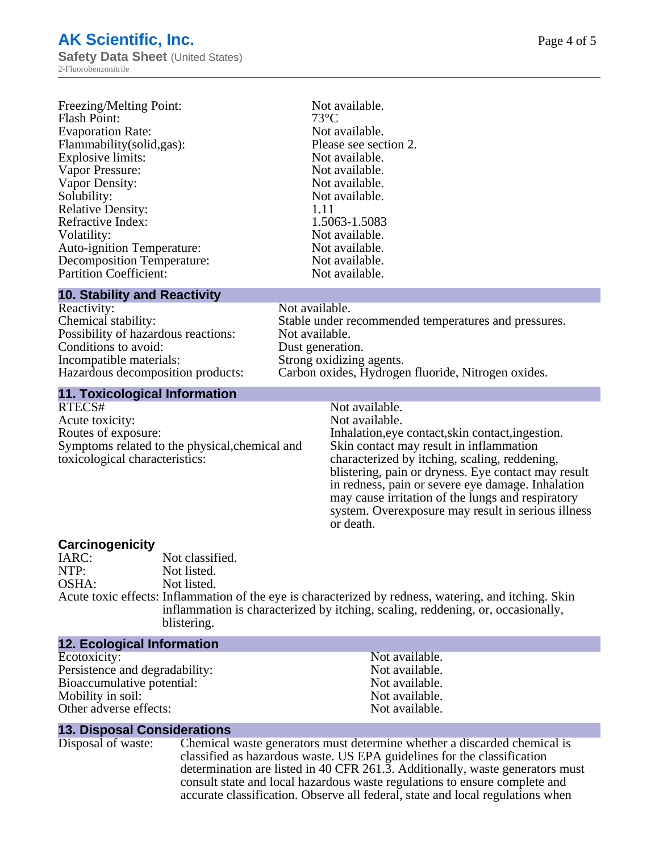# **AK Scientific, Inc.**

**Safety Data Sheet** (United States) 2-Fluorobenzonitrile

| Freezing/Melting Point:           | Not available.        |
|-----------------------------------|-----------------------|
| <b>Flash Point:</b>               | $73^{\circ}$ C        |
| <b>Evaporation Rate:</b>          | Not available.        |
| Flammability(solid,gas):          | Please see section 2. |
| <b>Explosive limits:</b>          | Not available.        |
| Vapor Pressure:                   | Not available.        |
| Vapor Density:                    | Not available.        |
| Solubility:                       | Not available.        |
| <b>Relative Density:</b>          | 1.11                  |
| Refractive Index:                 | 1.5063-1.5083         |
| Volatility:                       | Not available.        |
| <b>Auto-ignition Temperature:</b> | Not available.        |
| <b>Decomposition Temperature:</b> | Not available.        |
| <b>Partition Coefficient:</b>     | Not available.        |

#### **10. Stability and Reactivity**

| Reactivity:                         |
|-------------------------------------|
| Chemical stability:                 |
| Possibility of hazardous reactions: |
| Conditions to avoid:                |
| Incompatible materials:             |
| Hazardous decomposition products:   |
|                                     |

#### Not available. Stable under recommended temperatures and pressures. Not available. Dust generation. Strong oxidizing agents. Carbon oxides, Hydrogen fluoride, Nitrogen oxides.

#### **11. Toxicological Information**

RTECS# Not available.<br>Acute toxicity: Not available. Acute toxicity: Routes of exposure: The Inhalation, eve contact, skin contact, ingestion. Symptoms related to the physical,chemical and toxicological characteristics:

Skin contact may result in inflammation characterized by itching, scaling, reddening, blistering, pain or dryness. Eye contact may result in redness, pain or severe eye damage. Inhalation may cause irritation of the lungs and respiratory system. Overexposure may result in serious illness or death.

**Carcinogenicity** IARC: Not classified.<br>
Not listed. Not listed. OSHA: Not listed. Acute toxic effects: Inflammation of the eye is characterized by redness, watering, and itching. Skin inflammation is characterized by itching, scaling, reddening, or, occasionally, blistering.

#### **12. Ecological Information**

Ecotoxicity: Not available.<br>
Not available.<br>
Not available.<br>
Not available. Persistence and degradability:<br>
Bioaccumulative potential:<br>
Not available.<br>
Not available. Bioaccumulative potential: Mobility in soil: Not available. Other adverse effects: Not available.

#### **13. Disposal Considerations**

Disposal of waste: Chemical waste generators must determine whether a discarded chemical is classified as hazardous waste. US EPA guidelines for the classification determination are listed in 40 CFR 261.3. Additionally, waste generators must consult state and local hazardous waste regulations to ensure complete and accurate classification. Observe all federal, state and local regulations when